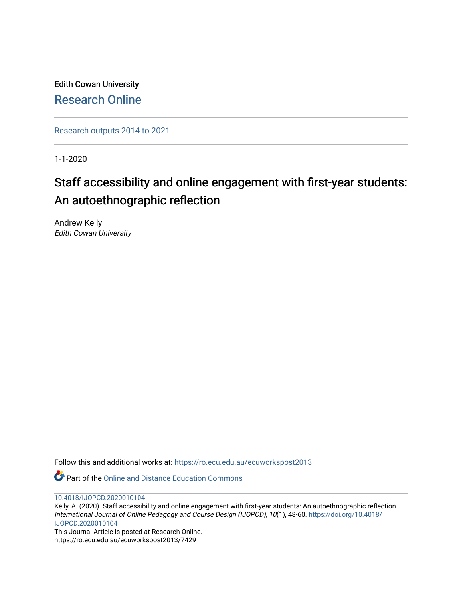Edith Cowan University [Research Online](https://ro.ecu.edu.au/) 

[Research outputs 2014 to 2021](https://ro.ecu.edu.au/ecuworkspost2013) 

1-1-2020

# Staff accessibility and online engagement with first-year students: An autoethnographic reflection

Andrew Kelly Edith Cowan University

Follow this and additional works at: [https://ro.ecu.edu.au/ecuworkspost2013](https://ro.ecu.edu.au/ecuworkspost2013?utm_source=ro.ecu.edu.au%2Fecuworkspost2013%2F7429&utm_medium=PDF&utm_campaign=PDFCoverPages) 

**P** Part of the [Online and Distance Education Commons](http://network.bepress.com/hgg/discipline/1296?utm_source=ro.ecu.edu.au%2Fecuworkspost2013%2F7429&utm_medium=PDF&utm_campaign=PDFCoverPages)

[10.4018/IJOPCD.2020010104](http://dx.doi.org/10.4018/IJOPCD.2020010104) 

Kelly, A. (2020). Staff accessibility and online engagement with first-year students: An autoethnographic reflection. International Journal of Online Pedagogy and Course Design (IJOPCD), 10(1), 48-60. [https://doi.org/10.4018/](https://doi.org/10.4018/IJOPCD.2020010104) [IJOPCD.2020010104](https://doi.org/10.4018/IJOPCD.2020010104)

This Journal Article is posted at Research Online. https://ro.ecu.edu.au/ecuworkspost2013/7429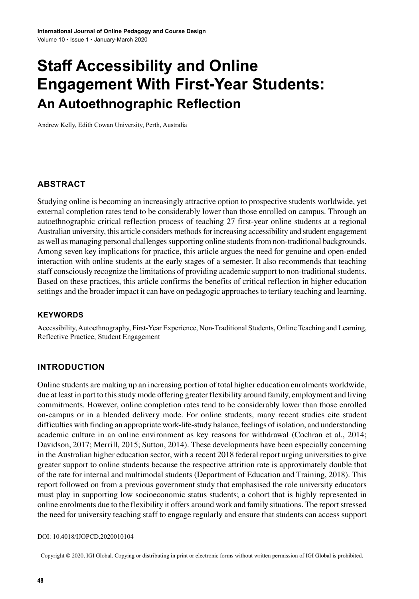# **Staff Accessibility and Online Engagement With First-Year Students: An Autoethnographic Reflection**

Andrew Kelly, Edith Cowan University, Perth, Australia

# **ABSTRACT**

Studying online is becoming an increasingly attractive option to prospective students worldwide, yet external completion rates tend to be considerably lower than those enrolled on campus. Through an autoethnographic critical reflection process of teaching 27 first-year online students at a regional Australian university, this article considers methods for increasing accessibility and student engagement as well as managing personal challenges supporting online students from non-traditional backgrounds. Among seven key implications for practice, this article argues the need for genuine and open-ended interaction with online students at the early stages of a semester. It also recommends that teaching staff consciously recognize the limitations of providing academic support to non-traditional students. Based on these practices, this article confirms the benefits of critical reflection in higher education settings and the broader impact it can have on pedagogic approaches to tertiary teaching and learning.

#### **Keywords**

Accessibility, Autoethnography, First-Year Experience, Non-Traditional Students, Online Teaching and Learning, Reflective Practice, Student Engagement

# **INTRODUCTION**

Online students are making up an increasing portion of total higher education enrolments worldwide, due at least in part to thisstudy mode offering greater flexibility around family, employment and living commitments. However, online completion rates tend to be considerably lower than those enrolled on-campus or in a blended delivery mode. For online students, many recent studies cite student difficulties with finding an appropriate work-life-study balance, feelings of isolation, and understanding academic culture in an online environment as key reasons for withdrawal (Cochran et al., 2014; Davidson, 2017; Merrill, 2015; Sutton, 2014). These developments have been especially concerning in the Australian higher education sector, with a recent 2018 federal report urging universities to give greater support to online students because the respective attrition rate is approximately double that of the rate for internal and multimodal students (Department of Education and Training, 2018). This report followed on from a previous government study that emphasised the role university educators must play in supporting low socioeconomic status students; a cohort that is highly represented in online enrolments due to the flexibility it offers around work and family situations. The reportstressed the need for university teaching staff to engage regularly and ensure that students can access support

#### DOI: 10.4018/IJOPCD.2020010104

Copyright © 2020, IGI Global. Copying or distributing in print or electronic forms without written permission of IGI Global is prohibited.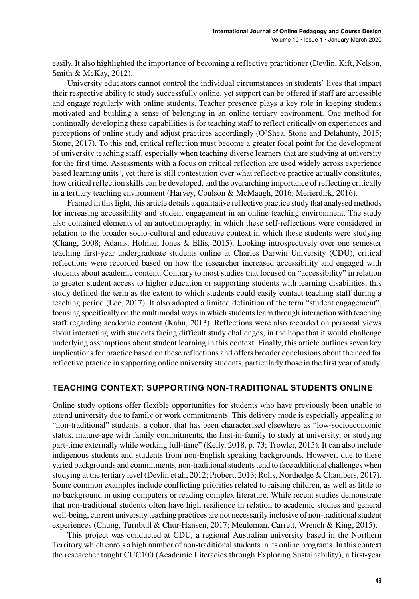easily. It also highlighted the importance of becoming a reflective practitioner (Devlin, Kift, Nelson, Smith & McKay, 2012).

University educators cannot control the individual circumstances in students' lives that impact their respective ability to study successfully online, yet support can be offered if staff are accessible and engage regularly with online students. Teacher presence plays a key role in keeping students motivated and building a sense of belonging in an online tertiary environment. One method for continually developing these capabilities is for teaching staff to reflect critically on experiences and perceptions of online study and adjust practices accordingly (O'Shea, Stone and Delahunty, 2015; Stone, 2017). To this end, critical reflection must become a greater focal point for the development of university teaching staff, especially when teaching diverse learners that are studying at university for the first time. Assessments with a focus on critical reflection are used widely across experience based learning units<sup>1</sup>, yet there is still contestation over what reflective practice actually constitutes, how critical reflection skills can be developed, and the overarching importance of reflecting critically in a tertiary teaching environment (Harvey, Coulson & McMaugh, 2016; Merierdirk, 2016).

Framed in thislight, this article details a qualitative reflective practice study that analysed methods for increasing accessibility and student engagement in an online teaching environment. The study also contained elements of an autoethnography, in which these self-reflections were considered in relation to the broader socio-cultural and educative context in which these students were studying (Chang, 2008; Adams, Holman Jones & Ellis, 2015). Looking introspectively over one semester teaching first-year undergraduate students online at Charles Darwin University (CDU), critical reflections were recorded based on how the researcher increased accessibility and engaged with students about academic content. Contrary to most studies that focused on "accessibility" in relation to greater student access to higher education or supporting students with learning disabilities, this study defined the term as the extent to which students could easily contact teaching staff during a teaching period (Lee, 2017). It also adopted a limited definition of the term "student engagement", focusing specifically on the multimodal ways in which students learn through interaction with teaching staff regarding academic content (Kahu, 2013). Reflections were also recorded on personal views about interacting with students facing difficult study challenges, in the hope that it would challenge underlying assumptions about student learning in this context. Finally, this article outlines seven key implications for practice based on these reflections and offers broader conclusions about the need for reflective practice in supporting online university students, particularly those in the first year of study.

#### **TEACHING CONTEXT: SUPPORTING NON-TRADITIONAL STUDENTS ONLINE**

Online study options offer flexible opportunities for students who have previously been unable to attend university due to family or work commitments. This delivery mode is especially appealing to "non-traditional" students, a cohort that has been characterised elsewhere as "low-socioeconomic status, mature-age with family commitments, the first-in-family to study at university, or studying part-time externally while working full-time" (Kelly, 2018, p. 73; Trowler, 2015). It can also include indigenous students and students from non-English speaking backgrounds. However, due to these varied backgrounds and commitments, non-traditional students tend to face additional challenges when studying at the tertiary level (Devlin et al., 2012; Probert, 2013; Rolls, Northedge & Chambers, 2017). Some common examples include conflicting priorities related to raising children, as well as little to no background in using computers or reading complex literature. While recent studies demonstrate that non-traditional students often have high resilience in relation to academic studies and general well-being, current university teaching practices are not necessarily inclusive of non-traditional student experiences (Chung, Turnbull & Chur-Hansen, 2017; Meuleman, Carrett, Wrench & King, 2015).

This project was conducted at CDU, a regional Australian university based in the Northern Territory which enrols a high number of non-traditional students in its online programs. In this context the researcher taught CUC100 (Academic Literacies through Exploring Sustainability), a first-year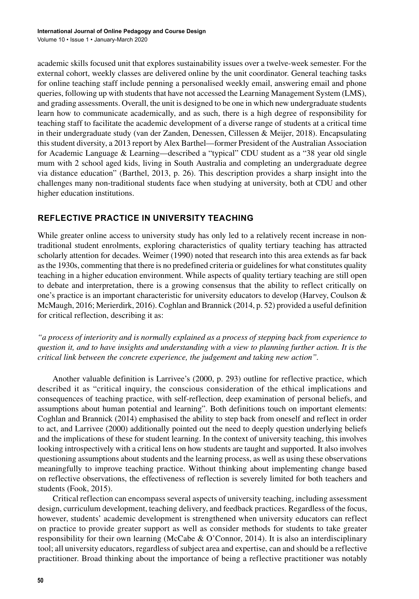academic skills focused unit that explores sustainability issues over a twelve-week semester. For the external cohort, weekly classes are delivered online by the unit coordinator. General teaching tasks for online teaching staff include penning a personalised weekly email, answering email and phone queries, following up with students that have not accessed the Learning Management System (LMS), and grading assessments. Overall, the unit is designed to be one in which new undergraduate students learn how to communicate academically, and as such, there is a high degree of responsibility for teaching staff to facilitate the academic development of a diverse range of students at a critical time in their undergraduate study (van der Zanden, Denessen, Cillessen & Meijer, 2018). Encapsulating thisstudent diversity, a 2013 report by Alex Barthel—former President of the Australian Association for Academic Language & Learning—described a "typical" CDU student as a "38 year old single mum with 2 school aged kids, living in South Australia and completing an undergraduate degree via distance education" (Barthel, 2013, p. 26). This description provides a sharp insight into the challenges many non-traditional students face when studying at university, both at CDU and other higher education institutions.

# **REFLECTIVE PRACTICE IN UNIVERSITY TEACHING**

While greater online access to university study has only led to a relatively recent increase in nontraditional student enrolments, exploring characteristics of quality tertiary teaching has attracted scholarly attention for decades. Weimer (1990) noted that research into this area extends as far back as the 1930s, commenting that there is no predefined criteria or guidelines for what constitutes quality teaching in a higher education environment. While aspects of quality tertiary teaching are still open to debate and interpretation, there is a growing consensus that the ability to reflect critically on one's practice is an important characteristic for university educators to develop (Harvey, Coulson & McMaugh, 2016; Merierdirk, 2016). Coghlan and Brannick (2014, p. 52) provided a useful definition for critical reflection, describing it as:

*"a process of interiority and is normally explained as a process of stepping back from experience to question it, and to have insights and understanding with a view to planning further action. It is the critical link between the concrete experience, the judgement and taking new action".*

Another valuable definition is Larrivee's (2000, p. 293) outline for reflective practice, which described it as "critical inquiry, the conscious consideration of the ethical implications and consequences of teaching practice, with self-reflection, deep examination of personal beliefs, and assumptions about human potential and learning". Both definitions touch on important elements: Coghlan and Brannick (2014) emphasised the ability to step back from oneself and reflect in order to act, and Larrivee (2000) additionally pointed out the need to deeply question underlying beliefs and the implications of these for student learning. In the context of university teaching, this involves looking introspectively with a critical lens on how students are taught and supported. It also involves questioning assumptions about students and the learning process, as well as using these observations meaningfully to improve teaching practice. Without thinking about implementing change based on reflective observations, the effectiveness of reflection is severely limited for both teachers and students (Fook, 2015).

Critical reflection can encompass several aspects of university teaching, including assessment design, curriculum development, teaching delivery, and feedback practices. Regardless of the focus, however, students' academic development is strengthened when university educators can reflect on practice to provide greater support as well as consider methods for students to take greater responsibility for their own learning (McCabe & O'Connor, 2014). It is also an interdisciplinary tool; all university educators, regardless of subject area and expertise, can and should be a reflective practitioner. Broad thinking about the importance of being a reflective practitioner was notably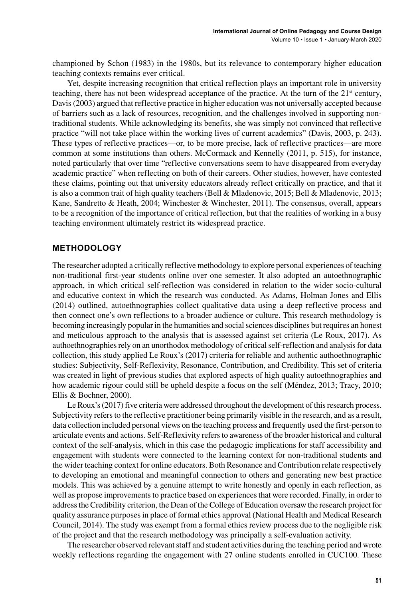championed by Schon (1983) in the 1980s, but its relevance to contemporary higher education teaching contexts remains ever critical.

Yet, despite increasing recognition that critical reflection plays an important role in university teaching, there has not been widespread acceptance of the practice. At the turn of the  $21<sup>st</sup>$  century, Davis(2003) argued that reflective practice in higher education was not universally accepted because of barriers such as a lack of resources, recognition, and the challenges involved in supporting nontraditional students. While acknowledging its benefits, she was simply not convinced that reflective practice "will not take place within the working lives of current academics" (Davis, 2003, p. 243). These types of reflective practices—or, to be more precise, lack of reflective practices—are more common at some institutions than others. McCormack and Kennelly (2011, p. 515), for instance, noted particularly that over time "reflective conversations seem to have disappeared from everyday academic practice" when reflecting on both of their careers. Other studies, however, have contested these claims, pointing out that university educators already reflect critically on practice, and that it is also a common trait of high quality teachers (Bell & Mladenovic, 2015; Bell & Mladenovic, 2013; Kane, Sandretto & Heath, 2004; Winchester & Winchester, 2011). The consensus, overall, appears to be a recognition of the importance of critical reflection, but that the realities of working in a busy teaching environment ultimately restrict its widespread practice.

# **METHODOLOGY**

The researcher adopted a critically reflective methodology to explore personal experiences of teaching non-traditional first-year students online over one semester. It also adopted an autoethnographic approach, in which critical self-reflection was considered in relation to the wider socio-cultural and educative context in which the research was conducted. As Adams, Holman Jones and Ellis (2014) outlined, autoethnographies collect qualitative data using a deep reflective process and then connect one's own reflections to a broader audience or culture. This research methodology is becoming increasingly popular in the humanities and socialsciences disciplines but requires an honest and meticulous approach to the analysis that is assessed against set criteria (Le Roux, 2017). As authoethnographies rely on an unorthodox methodology of critical self-reflection and analysis for data collection, this study applied Le Roux's (2017) criteria for reliable and authentic authoethnographic studies: Subjectivity, Self-Reflexivity, Resonance, Contribution, and Credibility. This set of criteria was created in light of previous studies that explored aspects of high quality autoethnographies and how academic rigour could still be upheld despite a focus on the self (Méndez, 2013; Tracy, 2010; Ellis & Bochner, 2000).

Le Roux's (2017) five criteria were addressed throughout the development of this research process. Subjectivity refers to the reflective practitioner being primarily visible in the research, and as a result, data collection included personal views on the teaching process and frequently used the first-person to articulate events and actions. Self-Reflexivity refersto awareness of the broader historical and cultural context of the self-analysis, which in this case the pedagogic implications for staff accessibility and engagement with students were connected to the learning context for non-traditional students and the wider teaching context for online educators. Both Resonance and Contribution relate respectively to developing an emotional and meaningful connection to others and generating new best practice models. This was achieved by a genuine attempt to write honestly and openly in each reflection, as well as propose improvements to practice based on experiences that were recorded. Finally, in order to addressthe Credibility criterion, the Dean of the College of Education oversaw the research project for quality assurance purposesin place of formal ethics approval (National Health and Medical Research Council, 2014). The study was exempt from a formal ethics review process due to the negligible risk of the project and that the research methodology was principally a self-evaluation activity.

The researcher observed relevant staff and student activities during the teaching period and wrote weekly reflections regarding the engagement with 27 online students enrolled in CUC100. These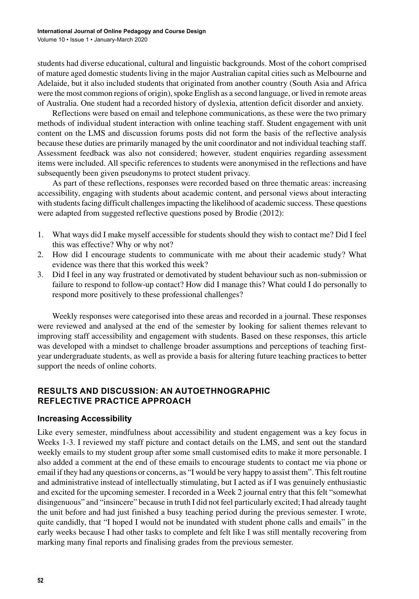students had diverse educational, cultural and linguistic backgrounds. Most of the cohort comprised of mature aged domestic students living in the major Australian capital cities such as Melbourne and Adelaide, but it also included students that originated from another country (South Asia and Africa were the most common regions of origin), spoke English as a second language, or lived in remote areas of Australia. One student had a recorded history of dyslexia, attention deficit disorder and anxiety.

Reflections were based on email and telephone communications, as these were the two primary methods of individual student interaction with online teaching staff. Student engagement with unit content on the LMS and discussion forums posts did not form the basis of the reflective analysis because these duties are primarily managed by the unit coordinator and not individual teaching staff. Assessment feedback was also not considered; however, student enquiries regarding assessment items were included. All specific references to students were anonymised in the reflections and have subsequently been given pseudonyms to protect student privacy.

As part of these reflections, responses were recorded based on three thematic areas: increasing accessibility, engaging with students about academic content, and personal views about interacting with students facing difficult challenges impacting the likelihood of academic success. These questions were adapted from suggested reflective questions posed by Brodie (2012):

- 1. What ways did I make myself accessible for students should they wish to contact me? Did I feel this was effective? Why or why not?
- 2. How did I encourage students to communicate with me about their academic study? What evidence was there that this worked this week?
- 3. Did I feel in any way frustrated or demotivated by student behaviour such as non-submission or failure to respond to follow-up contact? How did I manage this? What could I do personally to respond more positively to these professional challenges?

Weekly responses were categorised into these areas and recorded in a journal. These responses were reviewed and analysed at the end of the semester by looking for salient themes relevant to improving staff accessibility and engagement with students. Based on these responses, this article was developed with a mindset to challenge broader assumptions and perceptions of teaching firstyear undergraduate students, as well as provide a basis for altering future teaching practices to better support the needs of online cohorts.

# **RESULTS AND DISCUSSION: AN AUTOETHNOGRAPHIC REFLECTIVE PRACTICE APPROACH**

# **Increasing Accessibility**

Like every semester, mindfulness about accessibility and student engagement was a key focus in Weeks 1-3. I reviewed my staff picture and contact details on the LMS, and sent out the standard weekly emails to my student group after some small customised edits to make it more personable. I also added a comment at the end of these emails to encourage students to contact me via phone or email if they had any questions or concerns, as "I would be very happy to assist them". This felt routine and administrative instead of intellectually stimulating, but I acted as if I was genuinely enthusiastic and excited for the upcoming semester. I recorded in a Week 2 journal entry that this felt "somewhat disingenuous" and "insincere" because in truth I did not feel particularly excited; I had already taught the unit before and had just finished a busy teaching period during the previous semester. I wrote, quite candidly, that "I hoped I would not be inundated with student phone calls and emails" in the early weeks because I had other tasks to complete and felt like I was still mentally recovering from marking many final reports and finalising grades from the previous semester.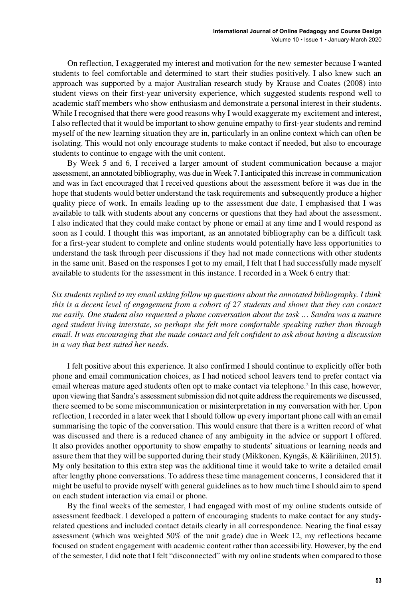On reflection, I exaggerated my interest and motivation for the new semester because I wanted students to feel comfortable and determined to start their studies positively. I also knew such an approach was supported by a major Australian research study by Krause and Coates (2008) into student views on their first-year university experience, which suggested students respond well to academic staff members who show enthusiasm and demonstrate a personal interest in their students. While I recognised that there were good reasons why I would exaggerate my excitement and interest, I also reflected that it would be important to show genuine empathy to first-year students and remind myself of the new learning situation they are in, particularly in an online context which can often be isolating. This would not only encourage students to make contact if needed, but also to encourage students to continue to engage with the unit content.

By Week 5 and 6, I received a larger amount of student communication because a major assessment, an annotated bibliography, was due in Week 7. I anticipated thisincrease in communication and was in fact encouraged that I received questions about the assessment before it was due in the hope that students would better understand the task requirements and subsequently produce a higher quality piece of work. In emails leading up to the assessment due date, I emphasised that I was available to talk with students about any concerns or questions that they had about the assessment. I also indicated that they could make contact by phone or email at any time and I would respond as soon as I could. I thought this was important, as an annotated bibliography can be a difficult task for a first-year student to complete and online students would potentially have less opportunities to understand the task through peer discussions if they had not made connections with other students in the same unit. Based on the responses I got to my email, I felt that I had successfully made myself available to students for the assessment in this instance. I recorded in a Week 6 entry that:

*Six students replied to my email asking follow up questions about the annotated bibliography. I think this is a decent level of engagement from a cohort of 27 students and shows that they can contact me easily. One student also requested a phone conversation about the task … Sandra was a mature aged student living interstate, so perhaps she felt more comfortable speaking rather than through email. It was encouraging that she made contact and felt confident to ask about having a discussion in a way that best suited her needs.*

I felt positive about this experience. It also confirmed I should continue to explicitly offer both phone and email communication choices, as I had noticed school leavers tend to prefer contact via email whereas mature aged students often opt to make contact via telephone.2 In this case, however, upon viewing that Sandra's assessment submission did not quite address the requirements we discussed, there seemed to be some miscommunication or misinterpretation in my conversation with her. Upon reflection, I recorded in a later week that I should follow up every important phone call with an email summarising the topic of the conversation. This would ensure that there is a written record of what was discussed and there is a reduced chance of any ambiguity in the advice or support I offered. It also provides another opportunity to show empathy to students' situations or learning needs and assure them that they will be supported during their study (Mikkonen, Kyngäs, & Kääriäinen, 2015). My only hesitation to this extra step was the additional time it would take to write a detailed email after lengthy phone conversations. To address these time management concerns, I considered that it might be useful to provide myself with general guidelines as to how much time I should aim to spend on each student interaction via email or phone.

By the final weeks of the semester, I had engaged with most of my online students outside of assessment feedback. I developed a pattern of encouraging students to make contact for any studyrelated questions and included contact details clearly in all correspondence. Nearing the final essay assessment (which was weighted 50% of the unit grade) due in Week 12, my reflections became focused on student engagement with academic content rather than accessibility. However, by the end of the semester, I did note that I felt "disconnected" with my online students when compared to those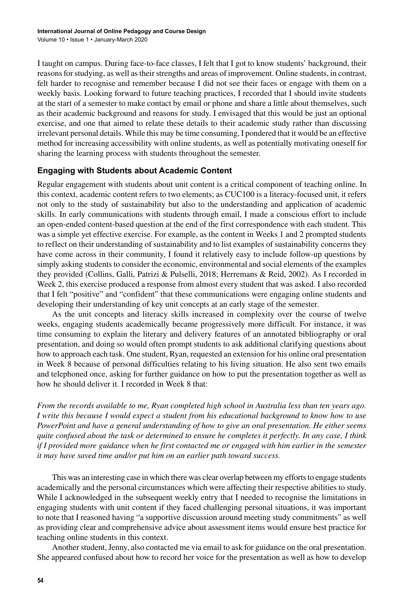I taught on campus. During face-to-face classes, I felt that I got to know students' background, their reasons for studying, as well as their strengths and areas of improvement. Online students, in contrast, felt harder to recognise and remember because I did not see their faces or engage with them on a weekly basis. Looking forward to future teaching practices, I recorded that I should invite students at the start of a semester to make contact by email or phone and share a little about themselves, such as their academic background and reasons for study. I envisaged that this would be just an optional exercise, and one that aimed to relate these details to their academic study rather than discussing irrelevant personal details. While this may be time consuming, I pondered that it would be an effective method for increasing accessibility with online students, as well as potentially motivating oneself for sharing the learning process with students throughout the semester.

# **Engaging with Students about Academic Content**

Regular engagement with students about unit content is a critical component of teaching online. In this context, academic content refers to two elements; as CUC100 is a literacy-focused unit, it refers not only to the study of sustainability but also to the understanding and application of academic skills. In early communications with students through email, I made a conscious effort to include an open-ended content-based question at the end of the first correspondence with each student. This was a simple yet effective exercise. For example, as the content in Weeks 1 and 2 prompted students to reflect on their understanding of sustainability and to list examples of sustainability concerns they have come across in their community, I found it relatively easy to include follow-up questions by simply asking students to consider the economic, environmental and social elements of the examples they provided (Collins, Galli, Patrizi & Pulselli, 2018; Herremans & Reid, 2002). As I recorded in Week 2, this exercise produced a response from almost every student that was asked. I also recorded that I felt "positive" and "confident" that these communications were engaging online students and developing their understanding of key unit concepts at an early stage of the semester.

As the unit concepts and literacy skills increased in complexity over the course of twelve weeks, engaging students academically became progressively more difficult. For instance, it was time consuming to explain the literary and delivery features of an annotated bibliography or oral presentation, and doing so would often prompt students to ask additional clarifying questions about how to approach each task. One student, Ryan, requested an extension for his online oral presentation in Week 8 because of personal difficulties relating to his living situation. He also sent two emails and telephoned once, asking for further guidance on how to put the presentation together as well as how he should deliver it. I recorded in Week 8 that:

*From the records available to me, Ryan completed high school in Australia less than ten years ago. I write this because I would expect a student from his educational background to know how to use PowerPoint and have a general understanding of how to give an oral presentation. He either seems quite confused about the task or determined to ensure he completes it perfectly. In any case, I think if I provided more guidance when he first contacted me or engaged with him earlier in the semester it may have saved time and/or put him on an earlier path toward success.*

This was an interesting case in which there was clear overlap between my effortsto engage students academically and the personal circumstances which were affecting their respective abilities to study. While I acknowledged in the subsequent weekly entry that I needed to recognise the limitations in engaging students with unit content if they faced challenging personal situations, it was important to note that I reasoned having "a supportive discussion around meeting study commitments" as well as providing clear and comprehensive advice about assessment items would ensure best practice for teaching online students in this context.

Another student, Jenny, also contacted me via email to ask for guidance on the oral presentation. She appeared confused about how to record her voice for the presentation as well as how to develop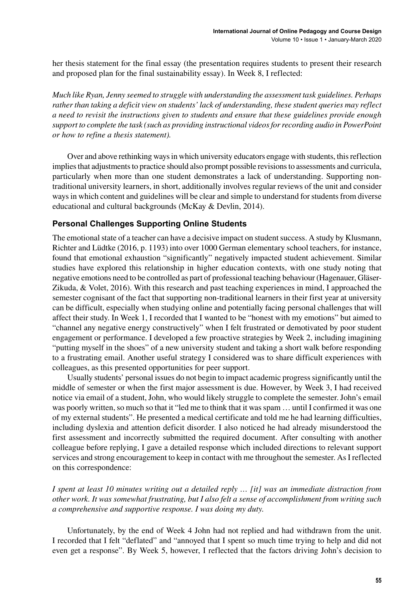her thesis statement for the final essay (the presentation requires students to present their research and proposed plan for the final sustainability essay). In Week 8, I reflected:

*Much like Ryan, Jenny seemed to struggle with understanding the assessment task guidelines. Perhaps rather than taking a deficit view on students' lack of understanding, these student queries may reflect a need to revisit the instructions given to students and ensure that these guidelines provide enough support to complete the task (such as providing instructional videos for recording audio in PowerPoint or how to refine a thesis statement).*

Over and above rethinking ways in which university educators engage with students, this reflection implies that adjustments to practice should also prompt possible revisions to assessments and curricula, particularly when more than one student demonstrates a lack of understanding. Supporting nontraditional university learners, in short, additionally involves regular reviews of the unit and consider waysin which content and guidelines will be clear and simple to understand forstudentsfrom diverse educational and cultural backgrounds (McKay & Devlin, 2014).

# **Personal Challenges Supporting Online Students**

The emotional state of a teacher can have a decisive impact on student success. A study by Klusmann, Richter and Lüdtke (2016, p. 1193) into over 1000 German elementary school teachers, for instance, found that emotional exhaustion "significantly" negatively impacted student achievement. Similar studies have explored this relationship in higher education contexts, with one study noting that negative emotions need to be controlled as part of professional teaching behaviour (Hagenauer, Gläser-Zikuda, & Volet, 2016). With this research and past teaching experiences in mind, I approached the semester cognisant of the fact that supporting non-traditional learners in their first year at university can be difficult, especially when studying online and potentially facing personal challenges that will affect their study. In Week 1, I recorded that I wanted to be "honest with my emotions" but aimed to "channel any negative energy constructively" when I felt frustrated or demotivated by poor student engagement or performance. I developed a few proactive strategies by Week 2, including imagining "putting myself in the shoes" of a new university student and taking a short walk before responding to a frustrating email. Another useful strategy I considered was to share difficult experiences with colleagues, as this presented opportunities for peer support.

Usually students' personal issues do not begin to impact academic progresssignificantly until the middle of semester or when the first major assessment is due. However, by Week 3, I had received notice via email of a student, John, who would likely struggle to complete the semester. John's email was poorly written, so much so that it "led me to think that it was spam ... until I confirmed it was one of my external students". He presented a medical certificate and told me he had learning difficulties, including dyslexia and attention deficit disorder. I also noticed he had already misunderstood the first assessment and incorrectly submitted the required document. After consulting with another colleague before replying, I gave a detailed response which included directions to relevant support services and strong encouragement to keep in contact with me throughout the semester. As I reflected on this correspondence:

*I spent at least 10 minutes writing out a detailed reply … [it] was an immediate distraction from other work. It was somewhat frustrating, but I also felt a sense of accomplishment from writing such a comprehensive and supportive response. I was doing my duty.*

Unfortunately, by the end of Week 4 John had not replied and had withdrawn from the unit. I recorded that I felt "deflated" and "annoyed that I spent so much time trying to help and did not even get a response". By Week 5, however, I reflected that the factors driving John's decision to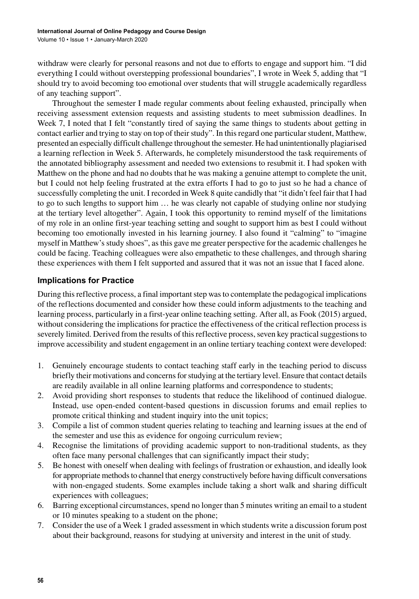withdraw were clearly for personal reasons and not due to efforts to engage and support him. "I did everything I could without overstepping professional boundaries", I wrote in Week 5, adding that "I should try to avoid becoming too emotional over students that will struggle academically regardless of any teaching support".

Throughout the semester I made regular comments about feeling exhausted, principally when receiving assessment extension requests and assisting students to meet submission deadlines. In Week 7, I noted that I felt "constantly tired of saying the same things to students about getting in contact earlier and trying to stay on top of their study". In this regard one particular student, Matthew, presented an especially difficult challenge throughout the semester. He had unintentionally plagiarised a learning reflection in Week 5. Afterwards, he completely misunderstood the task requirements of the annotated bibliography assessment and needed two extensions to resubmit it. I had spoken with Matthew on the phone and had no doubts that he was making a genuine attempt to complete the unit, but I could not help feeling frustrated at the extra efforts I had to go to just so he had a chance of successfully completing the unit. I recorded in Week 8 quite candidly that "it didn't feel fair that I had to go to such lengths to support him … he was clearly not capable of studying online nor studying at the tertiary level altogether". Again, I took this opportunity to remind myself of the limitations of my role in an online first-year teaching setting and sought to support him as best I could without becoming too emotionally invested in his learning journey. I also found it "calming" to "imagine myself in Matthew's study shoes", as this gave me greater perspective for the academic challenges he could be facing. Teaching colleagues were also empathetic to these challenges, and through sharing these experiences with them I felt supported and assured that it was not an issue that I faced alone.

# **Implications for Practice**

During this reflective process, a final important step was to contemplate the pedagogical implications of the reflections documented and consider how these could inform adjustments to the teaching and learning process, particularly in a first-year online teaching setting. After all, as Fook (2015) argued, without considering the implications for practice the effectiveness of the critical reflection process is severely limited. Derived from the results of this reflective process, seven key practical suggestions to improve accessibility and student engagement in an online tertiary teaching context were developed:

- 1. Genuinely encourage students to contact teaching staff early in the teaching period to discuss briefly their motivations and concerns for studying at the tertiary level. Ensure that contact details are readily available in all online learning platforms and correspondence to students;
- 2. Avoid providing short responses to students that reduce the likelihood of continued dialogue. Instead, use open-ended content-based questions in discussion forums and email replies to promote critical thinking and student inquiry into the unit topics;
- 3. Compile a list of common student queries relating to teaching and learning issues at the end of the semester and use this as evidence for ongoing curriculum review;
- 4. Recognise the limitations of providing academic support to non-traditional students, as they often face many personal challenges that can significantly impact their study;
- 5. Be honest with oneself when dealing with feelings of frustration or exhaustion, and ideally look for appropriate methods to channel that energy constructively before having difficult conversations with non-engaged students. Some examples include taking a short walk and sharing difficult experiences with colleagues;
- 6. Barring exceptional circumstances, spend no longer than 5 minutes writing an email to a student or 10 minutes speaking to a student on the phone;
- 7. Consider the use of a Week 1 graded assessment in which students write a discussion forum post about their background, reasons for studying at university and interest in the unit of study.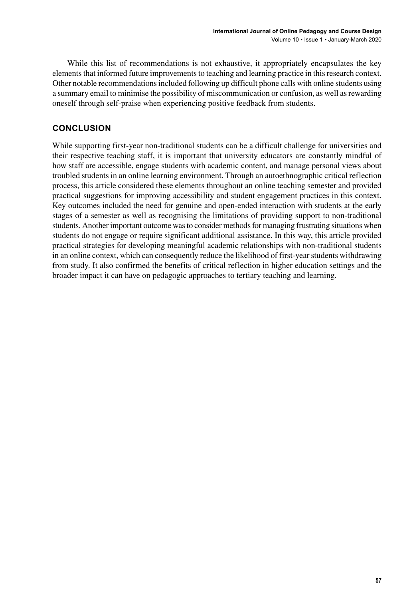While this list of recommendations is not exhaustive, it appropriately encapsulates the key elements that informed future improvements to teaching and learning practice in this research context. Other notable recommendationsincluded following up difficult phone calls with online students using a summary email to minimise the possibility of miscommunication or confusion, as well asrewarding oneself through self-praise when experiencing positive feedback from students.

# **CONCLUSION**

While supporting first-year non-traditional students can be a difficult challenge for universities and their respective teaching staff, it is important that university educators are constantly mindful of how staff are accessible, engage students with academic content, and manage personal views about troubled students in an online learning environment. Through an autoethnographic critical reflection process, this article considered these elements throughout an online teaching semester and provided practical suggestions for improving accessibility and student engagement practices in this context. Key outcomes included the need for genuine and open-ended interaction with students at the early stages of a semester as well as recognising the limitations of providing support to non-traditional students. Another important outcome was to consider methods for managing frustrating situations when students do not engage or require significant additional assistance. In this way, this article provided practical strategies for developing meaningful academic relationships with non-traditional students in an online context, which can consequently reduce the likelihood of first-yearstudents withdrawing from study. It also confirmed the benefits of critical reflection in higher education settings and the broader impact it can have on pedagogic approaches to tertiary teaching and learning.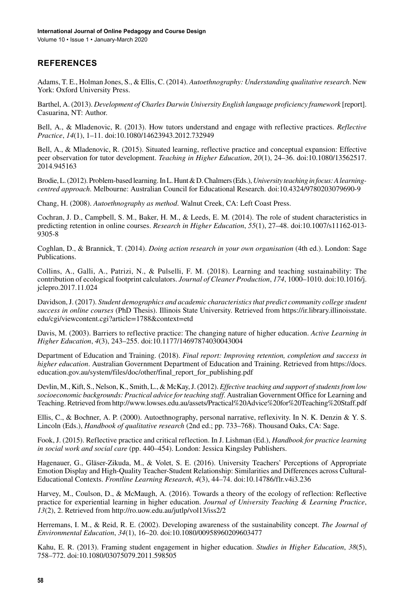# **REFERENCES**

Adams, T. E., Holman Jones, S., & Ellis, C. (2014). *Autoethnography: Understanding qualitative research*. New York: Oxford University Press.

Barthel, A. (2013). *Development of Charles Darwin University English language proficiency framework* [report]. Casuarina, NT: Author.

Bell, A., & Mladenovic, R. (2013). How tutors understand and engage with reflective practices. *Reflective Practice*, *14*(1), 1–11. doi[:10.1080/14623943.2012.732949](http://dx.doi.org/10.1080/14623943.2012.732949)

Bell, A., & Mladenovic, R. (2015). Situated learning, reflective practice and conceptual expansion: Effective peer observation for tutor development. *Teaching in Higher Education*, *20*(1), 24–36. doi[:10.1080/13562517.](http://dx.doi.org/10.1080/13562517.2014.945163) [2014.945163](http://dx.doi.org/10.1080/13562517.2014.945163)

Brodie, L. (2012). Problem-based learning. In L. Hunt & D. Chalmers (Eds.), *University teaching in focus: A learningcentred approach*. Melbourne: Australian Council for Educational Research. doi[:10.4324/9780203079690-9](http://dx.doi.org/10.4324/9780203079690-9)

Chang, H. (2008). *Autoethnography as method*. Walnut Creek, CA: Left Coast Press.

Cochran, J. D., Campbell, S. M., Baker, H. M., & Leeds, E. M. (2014). The role of student characteristics in predicting retention in online courses. *Research in Higher Education*, *55*(1), 27–48. doi:[10.1007/s11162-013-](http://dx.doi.org/10.1007/s11162-013-9305-8) [9305-8](http://dx.doi.org/10.1007/s11162-013-9305-8)

Coghlan, D., & Brannick, T. (2014). *Doing action research in your own organisation* (4th ed.). London: Sage Publications.

Collins, A., Galli, A., Patrizi, N., & Pulselli, F. M. (2018). Learning and teaching sustainability: The contribution of ecological footprint calculators. *Journal of Cleaner Production*, *174*, 1000–1010. doi[:10.1016/j.](http://dx.doi.org/10.1016/j.jclepro.2017.11.024) [jclepro.2017.11.024](http://dx.doi.org/10.1016/j.jclepro.2017.11.024)

Davidson, J. (2017). *Student demographics and academic characteristics that predict community college student success in online courses* (PhD Thesis). Illinois State University. Retrieved from [https://ir.library.illinoisstate.](https://ir.library.illinoisstate.edu/cgi/viewcontent.cgi?article=1788&context=etd) [edu/cgi/viewcontent.cgi?article=1788&context=etd](https://ir.library.illinoisstate.edu/cgi/viewcontent.cgi?article=1788&context=etd)

Davis, M. (2003). Barriers to reflective practice: The changing nature of higher education. *Active Learning in Higher Education*, *4*(3), 243–255. doi:[10.1177/14697874030043004](http://dx.doi.org/10.1177/14697874030043004)

Department of Education and Training. (2018). *Final report: Improving retention, completion and success in higher education*. Australian Government Department of Education and Training. Retrieved from [https://docs.](https://docs.education.gov.au/system/files/doc/other/final_report_for_publishing.pdf) [education.gov.au/system/files/doc/other/final\\_report\\_for\\_publishing.pdf](https://docs.education.gov.au/system/files/doc/other/final_report_for_publishing.pdf)

Devlin, M., Kift, S., Nelson, K., Smith, L., & McKay,J. (2012). *Effective teaching and support of students from low socioeconomic backgrounds: Practical advice for teaching staff*. Australian Government Office for Learning and Teaching. Retrieved from <http://www.lowses.edu.au/assets/Practical%20Advice%20for%20Teaching%20Staff.pdf>

Ellis, C., & Bochner, A. P. (2000). Autoethnography, personal narrative, reflexivity. In N. K. Denzin & Y. S. Lincoln (Eds.), *Handbook of qualitative research* (2nd ed.; pp. 733–768). Thousand Oaks, CA: Sage.

Fook, J. (2015). Reflective practice and critical reflection. In J. Lishman (Ed.), *Handbook for practice learning in social work and social care* (pp. 440–454). London: Jessica Kingsley Publishers.

Hagenauer, G., Gläser-Zikuda, M., & Volet, S. E. (2016). University Teachers' Perceptions of Appropriate Emotion Display and High-Quality Teacher-Student Relationship: Similarities and Differences across Cultural-Educational Contexts. *Frontline Learning Research*, *4*(3), 44–74. doi[:10.14786/flr.v4i3.236](http://dx.doi.org/10.14786/flr.v4i3.236)

Harvey, M., Coulson, D., & McMaugh, A. (2016). Towards a theory of the ecology of reflection: Reflective practice for experiential learning in higher education. *Journal of University Teaching & Learning Practice*, *13*(2), 2. Retrieved from <http://ro.uow.edu.au/jutlp/vol13/iss2/2>

Herremans, I. M., & Reid, R. E. (2002). Developing awareness of the sustainability concept. *The Journal of Environmental Education*, *34*(1), 16–20. doi:[10.1080/00958960209603477](http://dx.doi.org/10.1080/00958960209603477)

Kahu, E. R. (2013). Framing student engagement in higher education. *Studies in Higher Education*, *38*(5), 758–772. doi[:10.1080/03075079.2011.598505](http://dx.doi.org/10.1080/03075079.2011.598505)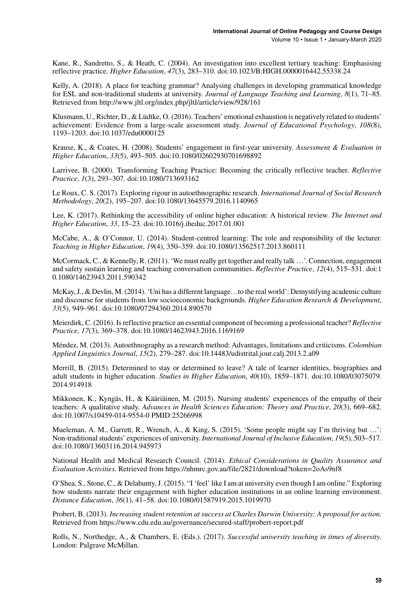Kane, R., Sandretto, S., & Heath, C. (2004). An investigation into excellent tertiary teaching: Emphasising reflective practice. *Higher Education*, *47*(3), 283–310. doi:[10.1023/B:HIGH.0000016442.55338.24](http://dx.doi.org/10.1023/B:HIGH.0000016442.55338.24)

Kelly, A. (2018). A place for teaching grammar? Analysing challenges in developing grammatical knowledge for ESL and non-traditional students at university. *Journal of Language Teaching and Learning*, *8*(1), 71–85. Retrieved from <http://www.jltl.org/index.php/jltl/article/view/928/161>

Klusmann, U., Richter, D., & Lüdtke, O. (2016). Teachers' emotional exhaustion is negatively related to students' achievement: Evidence from a large-scale assessment study. *Journal of Educational Psychology*, *108*(8), 1193–1203. doi[:10.1037/edu0000125](http://dx.doi.org/10.1037/edu0000125)

Krause, K., & Coates, H. (2008). Students' engagement in first‐year university. *Assessment & Evaluation in Higher Education*, *33*(5), 493–505. doi[:10.1080/02602930701698892](http://dx.doi.org/10.1080/02602930701698892)

Larrivee, B. (2000). Transforming Teaching Practice: Becoming the critically reflective teacher. *Reflective Practice*, *1*(3), 293–307. doi[:10.1080/713693162](http://dx.doi.org/10.1080/713693162)

Le Roux, C. S. (2017). Exploring rigour in autoethnographic research. *International Journal of Social Research Methodology*, *20*(2), 195–207. doi:[10.1080/13645579.2016.1140965](http://dx.doi.org/10.1080/13645579.2016.1140965)

Lee, K. (2017). Rethinking the accessibility of online higher education: A historical review. *The Internet and Higher Education*, *33*, 15–23. doi:[10.1016/j.iheduc.2017.01.001](http://dx.doi.org/10.1016/j.iheduc.2017.01.001)

McCabe, A., & O'Connor, U. (2014). Student-centred learning: The role and responsibility of the lecturer. *Teaching in Higher Education*, *19*(4), 350–359. doi[:10.1080/13562517.2013.860111](http://dx.doi.org/10.1080/13562517.2013.860111)

McCormack, C., & Kennelly, R. (2011). 'We must really get together and really talk …'. Connection, engagement and safety sustain learning and teaching conversation communities. *Reflective Practice*, *12*(4), 515–531. doi[:1](http://dx.doi.org/10.1080/14623943.2011.590342) [0.1080/14623943.2011.590342](http://dx.doi.org/10.1080/14623943.2011.590342)

McKay,J., & Devlin, M. (2014). 'Uni has a different language…to the real world': Demystifying academic culture and discourse for students from low socioeconomic backgrounds. *Higher Education Research & Development*, *33*(5), 949–961. doi[:10.1080/07294360.2014.890570](http://dx.doi.org/10.1080/07294360.2014.890570)

Meierdirk, C. (2016). Isreflective practice an essential component of becoming a professional teacher? *Reflective Practice*, *17*(3), 369–378. doi:[10.1080/14623943.2016.1169169](http://dx.doi.org/10.1080/14623943.2016.1169169)

Méndez, M. (2013). Autoethnography as a research method: Advantages, limitations and criticisms. *Colombian Applied Linguistics Journal*, *15*(2), 279–287. doi:[10.14483/udistrital.jour.calj.2013.2.a09](http://dx.doi.org/10.14483/udistrital.jour.calj.2013.2.a09)

Merrill, B. (2015). Determined to stay or determined to leave? A tale of learner identities, biographies and adult students in higher education. *Studies in Higher Education*, *40*(10), 1859–1871. doi[:10.1080/03075079.](http://dx.doi.org/10.1080/03075079.2014.914918) [2014.914918](http://dx.doi.org/10.1080/03075079.2014.914918)

Mikkonen, K., Kyngäs, H., & Kääriäinen, M. (2015). Nursing students' experiences of the empathy of their teachers: A qualitative study. *Advances in Health Sciences Education: Theory and Practice*, *20*(3), 669–682. doi[:10.1007/s10459-014-9554-0](http://dx.doi.org/10.1007/s10459-014-9554-0) PMID[:25266998](http://www.ncbi.nlm.nih.gov/pubmed/25266998)

Mueleman, A. M., Garrett, R., Wrench, A., & King, S. (2015). 'Some people might say I'm thriving but …': Non-traditional students' experiences of university. *International Journal of Inclusive Education*, *19*(5), 503-517. doi[:10.1080/13603116.2014.945973](http://dx.doi.org/10.1080/13603116.2014.945973)

National Health and Medical Research Council. (2014). *Ethical Considerations in Quality Assurance and Evaluation Activities.* Retrieved from <https://nhmrc.gov.au/file/2821/download?token=2oAs9nf8>

O'Shea, S., Stone, C., & Delahunty,J. (2015). "I 'feel' like I am at university even though I am online." Exploring how students narrate their engagement with higher education institutions in an online learning environment. *Distance Education*, *36*(1), 41–58. doi:[10.1080/01587919.2015.1019970](http://dx.doi.org/10.1080/01587919.2015.1019970)

Probert, B. (2013). *Increasing student retention at success at Charles Darwin University: A proposal for action.* Retrieved from <https://www.cdu.edu.au/governance/secured-staff/probert-report.pdf>

Rolls, N., Northedge, A., & Chambers, E. (Eds.). (2017). *Successful university teaching in times of diversity*. London: Palgrave McMillan.